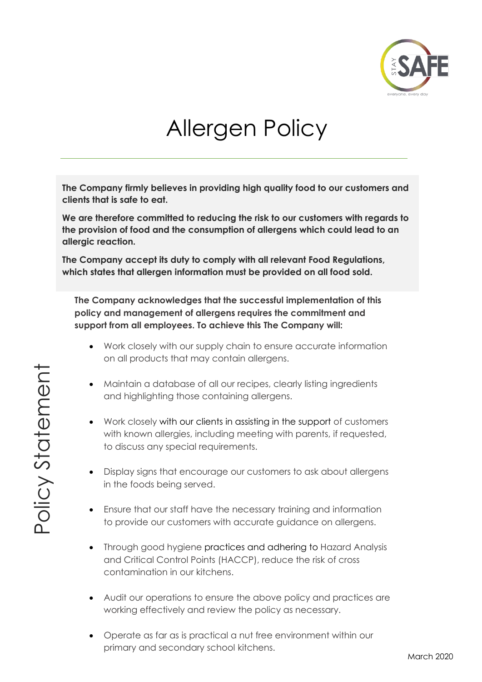

# Allergen Policy

**The Company firmly believes in providing high quality food to our customers and clients that is safe to eat.** 

**We are therefore committed to reducing the risk to our customers with regards to the provision of food and the consumption of allergens which could lead to an allergic reaction.**

**The Company accept its duty to comply with all relevant Food Regulations, which states that allergen information must be provided on all food sold.**

**The Company acknowledges that the successful implementation of this policy and management of allergens requires the commitment and support from all employees. To achieve this The Company will:**

- Work closely with our supply chain to ensure accurate information on all products that may contain allergens.
- Maintain a database of all our recipes, clearly listing ingredients and highlighting those containing allergens.
- Work closely with our clients in assisting in the support of customers with known allergies, including meeting with parents, if requested, to discuss any special requirements.
- Display signs that encourage our customers to ask about allergens in the foods being served.
- Ensure that our staff have the necessary training and information to provide our customers with accurate guidance on allergens.
- Through good hygiene practices and adhering to Hazard Analysis and Critical Control Points (HACCP), reduce the risk of cross contamination in our kitchens.
- Audit our operations to ensure the above policy and practices are working effectively and review the policy as necessary.
- Operate as far as is practical a nut free environment within our primary and secondary school kitchens.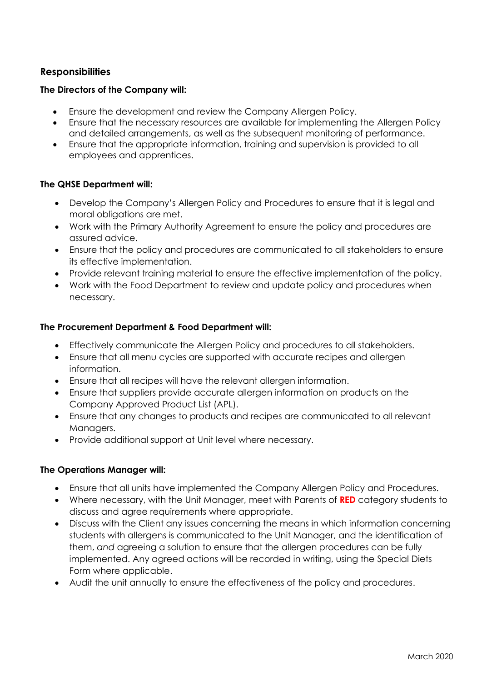# **Responsibilities**

#### **The Directors of the Company will:**

- Ensure the development and review the Company Allergen Policy.
- Ensure that the necessary resources are available for implementing the Allergen Policy and detailed arrangements, as well as the subsequent monitoring of performance.
- Ensure that the appropriate information, training and supervision is provided to all employees and apprentices.

#### **The QHSE Department will:**

- Develop the Company's Allergen Policy and Procedures to ensure that it is legal and moral obligations are met.
- Work with the Primary Authority Agreement to ensure the policy and procedures are assured advice.
- Ensure that the policy and procedures are communicated to all stakeholders to ensure its effective implementation.
- Provide relevant training material to ensure the effective implementation of the policy.
- Work with the Food Department to review and update policy and procedures when necessary.

## **The Procurement Department & Food Department will:**

- Effectively communicate the Allergen Policy and procedures to all stakeholders.
- Ensure that all menu cycles are supported with accurate recipes and allergen information.
- Ensure that all recipes will have the relevant allergen information.
- Ensure that suppliers provide accurate allergen information on products on the Company Approved Product List (APL).
- Ensure that any changes to products and recipes are communicated to all relevant Managers.
- Provide additional support at Unit level where necessary.

#### **The Operations Manager will:**

- Ensure that all units have implemented the Company Allergen Policy and Procedures.
- Where necessary, with the Unit Manager, meet with Parents of **RED** category students to discuss and agree requirements where appropriate.
- Discuss with the Client any issues concerning the means in which information concerning students with allergens is communicated to the Unit Manager, and the identification of them, *and* agreeing a solution to ensure that the allergen procedures can be fully implemented. Any agreed actions will be recorded in writing, using the Special Diets Form where applicable.
- Audit the unit annually to ensure the effectiveness of the policy and procedures.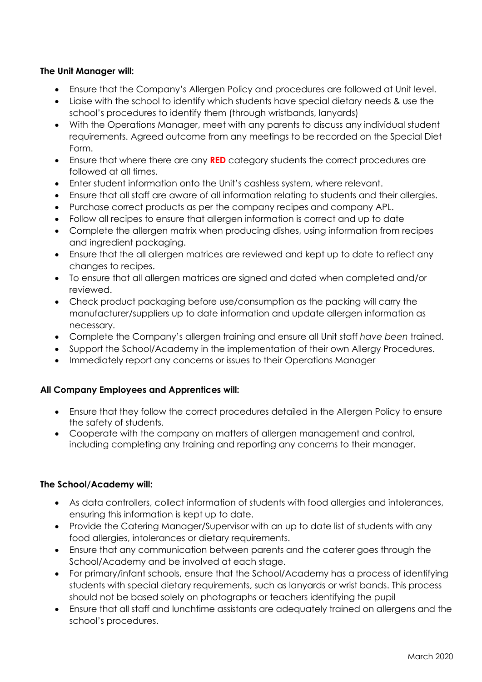# **The Unit Manager will:**

- Ensure that the Company*'s* Allergen Policy and procedures are followed at Unit level.
- Liaise with the school to identify which students have special dietary needs & use the school's procedures to identify them (through wristbands, lanyards)
- With the Operations Manager, meet with any parents to discuss any individual student requirements. Agreed outcome from any meetings to be recorded on the Special Diet Form.
- Ensure that where there are any **RED** category students the correct procedures are followed at all times.
- Enter student information onto the Unit's cashless system, where relevant.
- Ensure that all staff are aware of all information relating to students and their allergies.
- Purchase correct products as per the company recipes and company APL.
- Follow all recipes to ensure that allergen information is correct and up to date
- Complete the allergen matrix when producing dishes, using information from recipes and ingredient packaging.
- Ensure that the all allergen matrices are reviewed and kept up to date to reflect any changes to recipes.
- To ensure that all allergen matrices are signed and dated when completed and/or reviewed.
- Check product packaging before use/consumption as the packing will carry the manufacturer/suppliers up to date information and update allergen information as necessary.
- Complete the Company's allergen training and ensure all Unit staff *have been* trained.
- Support the School/Academy in the implementation of their own Allergy Procedures.
- Immediately report any concerns or issues to their Operations Manager

## **All Company Employees and Apprentices will:**

- Ensure that they follow the correct procedures detailed in the Allergen Policy to ensure the safety of students.
- Cooperate with the company on matters of allergen management and control, including completing any training and reporting any concerns to their manager.

## **The School/Academy will:**

- As data controllers, collect information of students with food allergies and intolerances, ensuring this information is kept up to date.
- Provide the Catering Manager/Supervisor with an up to date list of students with any food allergies, intolerances or dietary requirements.
- Ensure that any communication between parents and the caterer goes through the School/Academy and be involved at each stage.
- For primary/infant schools, ensure that the School/Academy has a process of identifying students with special dietary requirements, such as lanyards or wrist bands. This process should not be based solely on photographs or teachers identifying the pupil
- Ensure that all staff and lunchtime assistants are adequately trained on allergens and the school's procedures.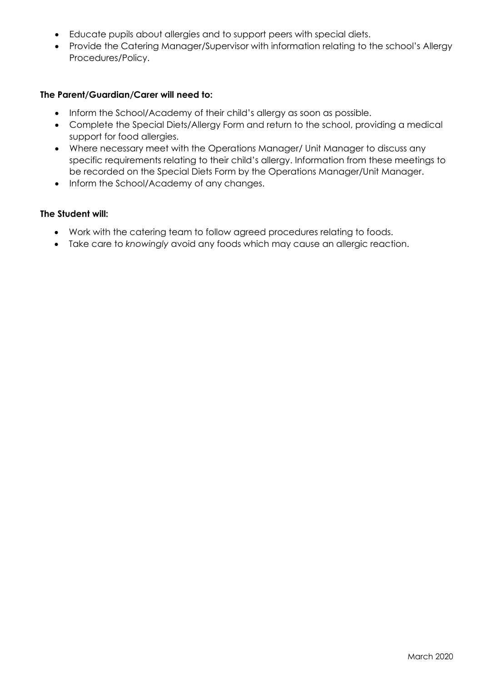- Educate pupils about allergies and to support peers with special diets.
- Provide the Catering Manager/Supervisor with information relating to the school's Allergy Procedures/Policy.

#### **The Parent/Guardian/Carer will need to:**

- Inform the School/Academy of their child's allergy as soon as possible.
- Complete the Special Diets/Allergy Form and return to the school, providing a medical support for food allergies.
- Where necessary meet with the Operations Manager/ Unit Manager to discuss any specific requirements relating to their child's allergy. Information from these meetings to be recorded on the Special Diets Form by the Operations Manager/Unit Manager.
- Inform the School/Academy of any changes.

#### **The Student will:**

- Work with the catering team to follow agreed procedures relating to foods.
- Take care to *knowingly* avoid any foods which may cause an allergic reaction.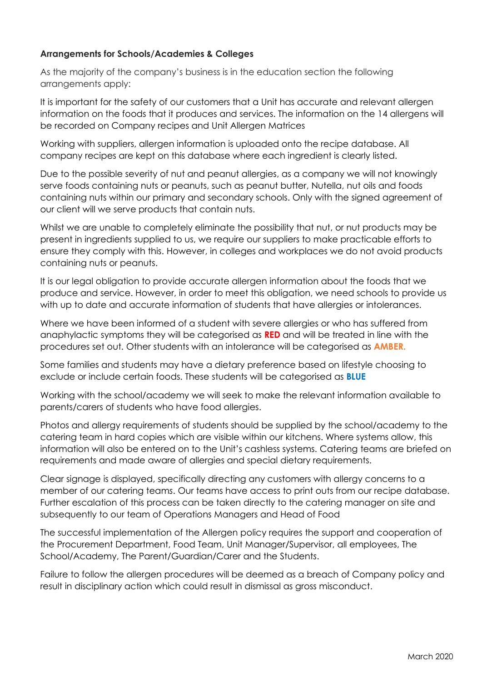## **Arrangements for Schools/Academies & Colleges**

As the majority of the company's business is in the education section the following arrangements apply:

It is important for the safety of our customers that a Unit has accurate and relevant allergen information on the foods that it produces and services. The information on the 14 allergens will be recorded on Company recipes and Unit Allergen Matrices

Working with suppliers, allergen information is uploaded onto the recipe database. All company recipes are kept on this database where each ingredient is clearly listed.

Due to the possible severity of nut and peanut allergies, as a company we will not knowingly serve foods containing nuts or peanuts, such as peanut butter, Nutella, nut oils and foods containing nuts within our primary and secondary schools. Only with the signed agreement of our client will we serve products that contain nuts.

Whilst we are unable to completely eliminate the possibility that nut, or nut products may be present in ingredients supplied to us, we require our suppliers to make practicable efforts to ensure they comply with this. However, in colleges and workplaces we do not avoid products containing nuts or peanuts.

It is our legal obligation to provide accurate allergen information about the foods that we produce and service. However, in order to meet this obligation, we need schools to provide us with up to date and accurate information of students that have allergies or intolerances.

Where we have been informed of a student with severe allergies or who has suffered from anaphylactic symptoms they will be categorised as **RED** and will be treated in line with the procedures set out. Other students with an intolerance will be categorised as **AMBER.**

Some families and students may have a dietary preference based on lifestyle choosing to exclude or include certain foods. These students will be categorised as **BLUE**

Working with the school/academy we will seek to make the relevant information available to parents/carers of students who have food allergies.

Photos and allergy requirements of students should be supplied by the school/academy to the catering team in hard copies which are visible within our kitchens. Where systems allow, this information will also be entered on to the Unit's cashless systems. Catering teams are briefed on requirements and made aware of allergies and special dietary requirements.

Clear signage is displayed, specifically directing any customers with allergy concerns to a member of our catering team*s*. Our teams have access to print outs from our recipe database. Further escalation of this process can be taken directly to the catering manager on site and subsequently to our team of Operations Managers and Head of Food

The successful implementation of the Allergen policy requires the support and cooperation of the Procurement Department, Food Team, Unit Manager/Supervisor, all employees, The School/Academy, The Parent/Guardian/Carer and the Student*s*.

Failure to follow the allergen procedures will be deemed as a breach of Company policy and result in disciplinary action which could result in dismissal as gross misconduct.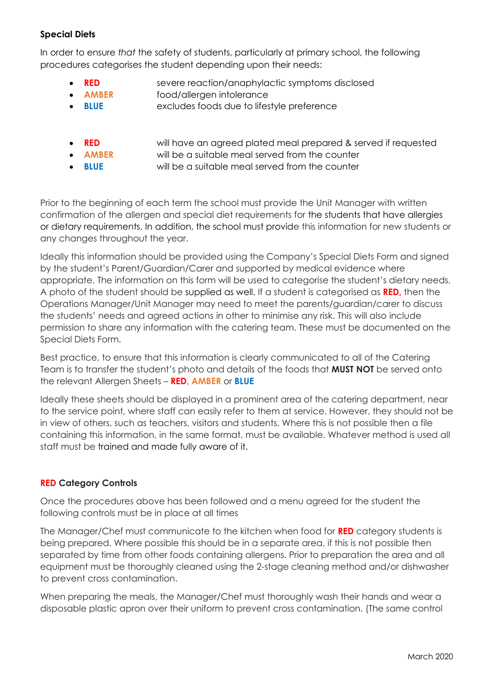# **Special Diets**

In order to ensure *that* the safety of students, particularly at primary school, the following procedures categorises the student depending upon their needs:

- **RED** severe reaction/anaphylactic symptoms disclosed
- **AMBER** food/allergen intolerance
- **BLUE** excludes foods due to lifestyle preference
- **RED** will have an agreed plated meal prepared & served if requested
	- **AMBER** will be a suitable meal served from the counter
- 
- 
- **BLUE** will be a suitable meal served from the counter

Prior to the beginning of each term the school must provide the Unit Manager with written confirmation of the allergen and special diet requirements for the students that have allergies or dietary requirements. In addition, the school must provide this information for new students or any changes throughout the year.

Ideally this information should be provided using the Company's Special Diets Form and signed by the student's Parent/Guardian/Carer and supported by medical evidence where appropriate. The information on this form will be used to categorise the student's dietary needs. A photo of the student should be supplied as well. If a student is categorised as **RED,** then the Operations Manager/Unit Manager may need to meet the parents/guardian/carer to discuss the students' needs and agreed actions in other to minimise any risk. This will also include permission to share any information with the catering team. These must be documented on the Special Diets Form.

Best practice, to ensure that this information is clearly communicated to all of the Catering Team is to transfer the student's photo and details of the foods that **MUST NOT** be served onto the relevant Allergen Sheets – **RED**, **AMBER** or **BLUE**

Ideally these sheets should be displayed in a prominent area of the catering department, near to the service point, where staff can easily refer to them at service. However, they should not be in view of others, such as teachers, visitors and students. Where this is not possible then a file containing this information, in the same format, must be available. Whatever method is used all staff must be trained and made fully aware of it.

# **RED Category Controls**

Once the procedures above has been followed and a menu agreed for the student the following controls must be in place at all times

The Manager/Chef must communicate to the kitchen when food for **RED** category students is being prepared. Where possible this should be in a separate area, if this is not possible then separated by time from other foods containing allergens. Prior to preparation the area and all equipment must be thoroughly cleaned using the 2-stage cleaning method and/or dishwasher to prevent cross contamination.

When preparing the meals, the Manager/Chef must thoroughly wash their hands and wear a disposable plastic apron over their uniform to prevent cross contamination. (The same control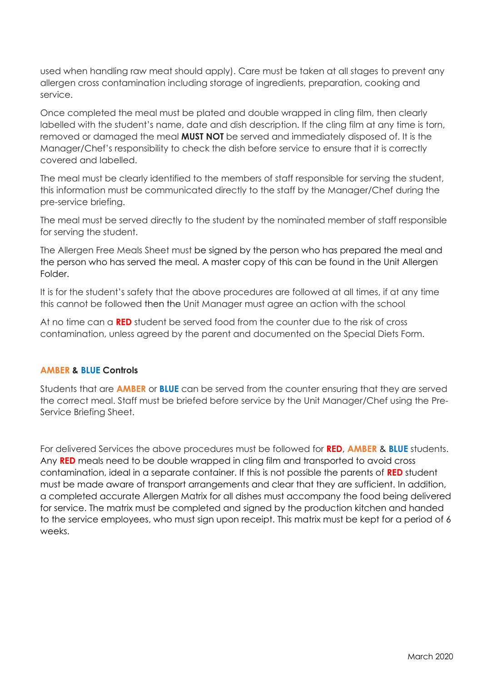used when handling raw meat should apply). Care must be taken at all stages to prevent any allergen cross contamination including storage of ingredients, preparation, cooking and service.

Once completed the meal must be plated and double wrapped in cling film, then clearly labelled with the student's name, date and dish description. If the cling film at any time is torn, removed or damaged the meal **MUST NOT** be served and immediately disposed of. It is the Manager/Chef's responsibility to check the dish before service to ensure that it is correctly covered and labelled.

The meal must be clearly identified to the members of staff responsible for serving the student, this information must be communicated directly to the staff by the Manager/Chef during the pre-service briefing.

The meal must be served directly to the student by the nominated member of staff responsible for serving the student.

The Allergen Free Meals Sheet must be signed by the person who has prepared the meal and the person who has served the meal. A master copy of this can be found in the Unit Allergen Folder.

It is for the student's safety that the above procedures are followed at all times, if at any time this cannot be followed then the Unit Manager must agree an action with the school

At no time can a **RED** student be served food from the counter due to the risk of cross contamination, unless agreed by the parent and documented on the Special Diets Form.

## **AMBER & BLUE Controls**

Students that are **AMBER** or **BLUE** can be served from the counter ensuring that they are served the correct meal. Staff must be briefed before service by the Unit Manager/Chef using the Pre-Service Briefing Sheet.

For delivered Services the above procedures must be followed for **RED**, **AMBER** & **BLUE** students. Any **RED** meals need to be double wrapped in cling film and transported to avoid cross contamination, ideal in a separate container. If this is not possible the parents of **RED** student must be made aware of transport arrangements and clear that they are sufficient. In addition, a completed accurate Allergen Matrix for all dishes must accompany the food being delivered for service. The matrix must be completed and signed by the production kitchen and handed to the service employees, who must sign upon receipt. This matrix must be kept for a period of 6 weeks.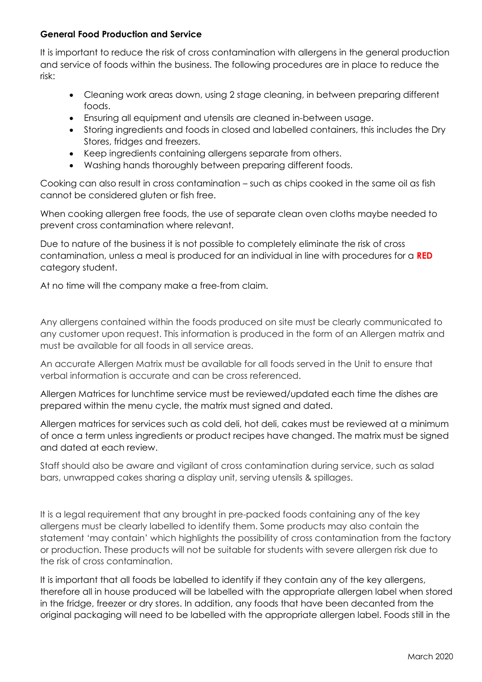## **General Food Production and Service**

It is important to reduce the risk of cross contamination with allergens in the general production and service of foods within the business. The following procedures are in place to reduce the risk:

- Cleaning work areas down, using 2 stage cleaning, in between preparing different foods.
- Ensuring all equipment and utensils are cleaned in-between usage.
- Storing ingredients and foods in closed and labelled containers, this includes the Dry Stores, fridges and freezers.
- Keep ingredients containing allergens separate from others.
- Washing hands thoroughly between preparing different foods.

Cooking can also result in cross contamination – such as chips cooked in the same oil as fish cannot be considered gluten or fish free.

When cooking allergen free foods, the use of separate clean oven cloths maybe needed to prevent cross contamination where relevant.

Due to nature of the business it is not possible to completely eliminate the risk of cross contamination, unless a meal is produced for an individual in line with procedures for a **RED** category student.

At no time will the company make a free-from claim.

Any allergens contained within the foods produced on site must be clearly communicated to any customer upon request. This information is produced in the form of an Allergen matrix and must be available for all foods in all service areas.

An accurate Allergen Matrix must be available for all foods served in the Unit to ensure that verbal information is accurate and can be cross referenced.

Allergen Matrices for lunchtime service must be reviewed/updated each time the dishes are prepared within the menu cycle, the matrix must signed and dated.

Allergen matrices for services such as cold deli, hot deli, cakes must be reviewed at a minimum of once a term unless ingredients or product recipes have changed. The matrix must be signed and dated at each review.

Staff should also be aware and vigilant of cross contamination during service, such as salad bars, unwrapped cakes sharing a display unit, serving utensils & spillages.

It is a legal requirement that any brought in pre-packed foods containing any of the key allergens must be clearly labelled to identify them. Some products may also contain the statement 'may contain' which highlights the possibility of cross contamination from the factory or production. These products will not be suitable for students with severe allergen risk due to the risk of cross contamination.

It is important that all foods be labelled to identify if they contain any of the key allergens, therefore all in house produced will be labelled with the appropriate allergen label when stored in the fridge, freezer or dry stores. In addition, any foods that have been decanted from the original packaging will need to be labelled with the appropriate allergen label. Foods still in the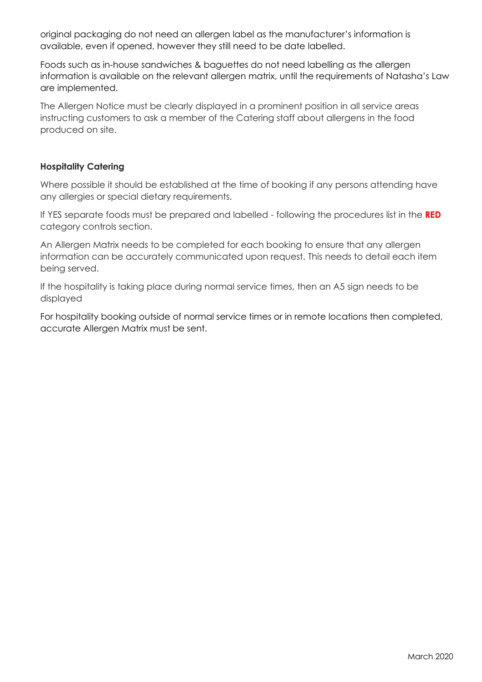original packaging do not need an allergen label as the manufacturer's information is available, even if opened, however they still need to be date labelled.

Foods such as in-house sandwiches & baguettes do not need labelling as the allergen information is available on the relevant allergen matrix, until the requirements of Natasha's Law are implemented.

The Allergen Notice must be clearly displayed in a prominent position in all service areas instructing customers to ask a member of the Catering staff about allergens in the food produced on site.

## **Hospitality Catering**

Where possible it should be established at the time of booking if any persons attending have any allergies or special dietary requirements.

If YES separate foods must be prepared and labelled - following the procedures list in the **RED**  category controls section.

An Allergen Matrix needs to be completed for each booking to ensure that any allergen information can be accurately communicated upon request. This needs to detail each item being served.

If the hospitality is taking place during normal service times, then an A5 sign needs to be displayed

For hospitality booking outside of normal service times or in remote locations then completed, accurate Allergen Matrix must be sent.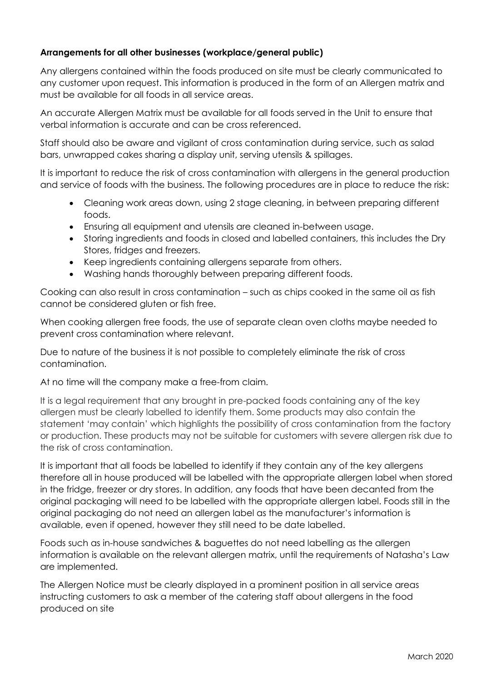# **Arrangements for all other businesses (workplace/general public)**

Any allergens contained within the foods produced on site must be clearly communicated to any customer upon request. This information is produced in the form of an Allergen matrix and must be available for all foods in all service areas.

An accurate Allergen Matrix must be available for all foods served in the Unit to ensure that verbal information is accurate and can be cross referenced.

Staff should also be aware and vigilant of cross contamination during service, such as salad bars, unwrapped cakes sharing a display unit, serving utensils & spillages.

It is important to reduce the risk of cross contamination with allergens in the general production and service of foods with the business. The following procedures are in place to reduce the risk:

- Cleaning work areas down, using 2 stage cleaning, in between preparing different foods.
- Ensuring all equipment and utensils are cleaned in-between usage.
- Storing ingredients and foods in closed and labelled containers, this includes the Dry Stores, fridges and freezers.
- Keep ingredients containing allergens separate from others.
- Washing hands thoroughly between preparing different foods.

Cooking can also result in cross contamination – such as chips cooked in the same oil as fish cannot be considered gluten or fish free.

When cooking allergen free foods, the use of separate clean oven cloths maybe needed to prevent cross contamination where relevant.

Due to nature of the business it is not possible to completely eliminate the risk of cross contamination.

At no time will the company make a free-from claim.

It is a legal requirement that any brought in pre-packed foods containing any of the key allergen must be clearly labelled to identify them. Some products may also contain the statement 'may contain' which highlights the possibility of cross contamination from the factory or production. These products may not be suitable for customers with severe allergen risk due to the risk of cross contamination.

It is important that all foods be labelled to identify if they contain any of the key allergens therefore all in house produced will be labelled with the appropriate allergen label when stored in the fridge, freezer or dry stores. In addition, any foods that have been decanted from the original packaging will need to be labelled with the appropriate allergen label. Foods still in the original packaging do not need an allergen label as the manufacturer's information is available, even if opened, however they still need to be date labelled.

Foods such as in-house sandwiches & baguettes do not need labelling as the allergen information is available on the relevant allergen matrix, until the requirements of Natasha's Law are implemented.

The Allergen Notice must be clearly displayed in a prominent position in all service areas instructing customers to ask a member of the catering staff about allergens in the food produced on site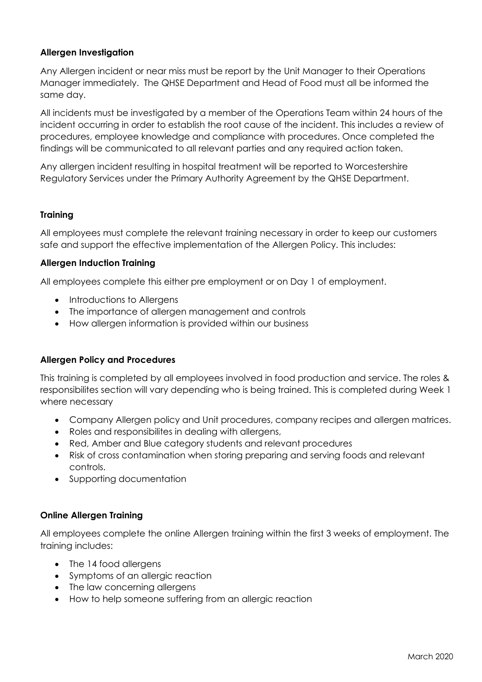# **Allergen Investigation**

Any Allergen incident or near miss must be report by the Unit Manager to their Operations Manager immediately. The QHSE Department and Head of Food must all be informed the same day.

All incidents must be investigated by a member of the Operations Team within 24 hours of the incident occurring in order to establish the root cause of the incident. This includes a review of procedures, employee knowledge and compliance with procedures. Once completed the findings will be communicated to all relevant parties and any required action taken.

Any allergen incident resulting in hospital treatment will be reported to Worcestershire Regulatory Services under the Primary Authority Agreement by the QHSE Department.

## **Training**

All employees must complete the relevant training necessary in order to keep our customers safe and support the effective implementation of the Allergen Policy. This includes:

## **Allergen Induction Training**

All employees complete this either pre employment or on Day 1 of employment.

- Introductions to Allergens
- The importance of allergen management and controls
- How allergen information is provided within our business

## **Allergen Policy and Procedures**

This training is completed by all employees involved in food production and service. The roles & responsibilites section will vary depending who is being trained. This is completed during Week 1 where necessary

- Company Allergen policy and Unit procedures, company recipes and allergen matrices.
- Roles and responsibilites in dealing with allergens,
- Red, Amber and Blue category students and relevant procedures
- Risk of cross contamination when storing preparing and serving foods and relevant controls.
- Supporting documentation

## **Online Allergen Training**

All employees complete the online Allergen training within the first 3 weeks of employment. The training includes:

- The 14 food allergens
- Symptoms of an allergic reaction
- The law concerning allergens
- How to help someone suffering from an allergic reaction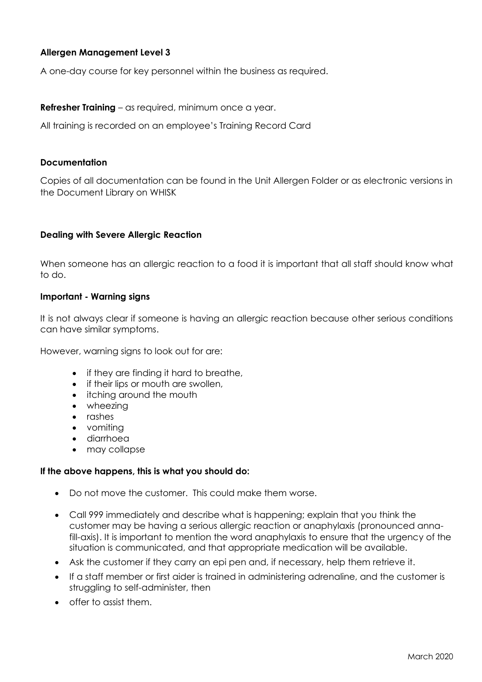# **Allergen Management Level 3**

A one-day course for key personnel within the business as required.

#### **Refresher Training** – as required, minimum once a year.

All training is recorded on an employee's Training Record Card

#### **Documentation**

Copies of all documentation can be found in the Unit Allergen Folder or as electronic versions in the Document Library on WHISK

#### **Dealing with Severe Allergic Reaction**

When someone has an allergic reaction to a food it is important that all staff should know what to do.

#### **Important - Warning signs**

It is not always clear if someone is having an allergic reaction because other serious conditions can have similar symptoms.

However, warning signs to look out for are:

- if they are finding it hard to breathe,
- if their lips or mouth are swollen,
- itching around the mouth
- wheezing
- rashes
- vomiting
- diarrhoea
- may collapse

#### **If the above happens, this is what you should do:**

- Do not move the customer. This could make them worse.
- Call 999 immediately and describe what is happening; explain that you think the customer may be having a serious allergic reaction or anaphylaxis (pronounced annafill-axis). It is important to mention the word anaphylaxis to ensure that the urgency of the situation is communicated, and that appropriate medication will be available.
- Ask the customer if they carry an epi pen and, if necessary, help them retrieve it.
- If a staff member or first aider is trained in administering adrenaline, and the customer is struggling to self-administer, then
- offer to assist them.